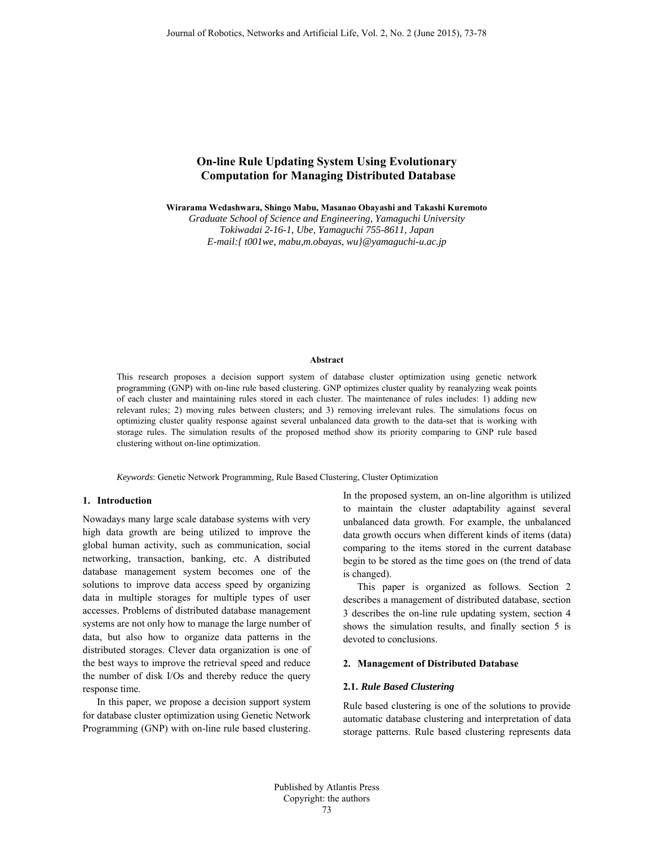# **On-line Rule Updating System Using Evolutionary Computation for Managing Distributed Database**

**Wirarama Wedashwara, Shingo Mabu, Masanao Obayashi and Takashi Kuremoto** 

*Graduate School of Science and Engineering, Yamaguchi University Tokiwadai 2-16-1, Ube, Yamaguchi 755-8611, Japan E-mail:{ t001we, mabu,m.obayas, wu}@yamaguchi-u.ac.jp* 

#### **Abstract**

This research proposes a decision support system of database cluster optimization using genetic network programming (GNP) with on-line rule based clustering. GNP optimizes cluster quality by reanalyzing weak points of each cluster and maintaining rules stored in each cluster. The maintenance of rules includes: 1) adding new relevant rules; 2) moving rules between clusters; and 3) removing irrelevant rules. The simulations focus on optimizing cluster quality response against several unbalanced data growth to the data-set that is working with storage rules. The simulation results of the proposed method show its priority comparing to GNP rule based clustering without on-line optimization.

*Keywords*: Genetic Network Programming, Rule Based Clustering, Cluster Optimization

# **1. Introduction**

Nowadays many large scale database systems with very high data growth are being utilized to improve the global human activity, such as communication, social networking, transaction, banking, etc. A distributed database management system becomes one of the solutions to improve data access speed by organizing data in multiple storages for multiple types of user accesses. Problems of distributed database management systems are not only how to manage the large number of data, but also how to organize data patterns in the distributed storages. Clever data organization is one of the best ways to improve the retrieval speed and reduce the number of disk I/Os and thereby reduce the query response time.

In this paper, we propose a decision support system for database cluster optimization using Genetic Network Programming (GNP) with on-line rule based clustering.

In the proposed system, an on-line algorithm is utilized to maintain the cluster adaptability against several unbalanced data growth. For example, the unbalanced data growth occurs when different kinds of items (data) comparing to the items stored in the current database begin to be stored as the time goes on (the trend of data is changed).

This paper is organized as follows. Section 2 describes a management of distributed database, section 3 describes the on-line rule updating system, section 4 shows the simulation results, and finally section 5 is devoted to conclusions.

## **2. Management of Distributed Database**

#### **2.1.** *Rule Based Clustering*

Rule based clustering is one of the solutions to provide automatic database clustering and interpretation of data storage patterns. Rule based clustering represents data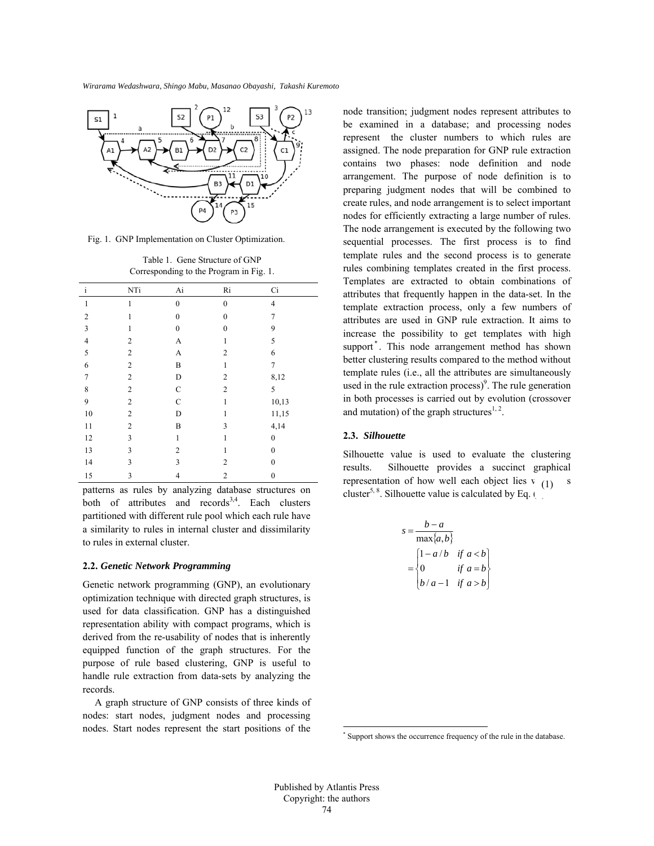

Fig. 1. GNP Implementation on Cluster Optimization.

Table 1. Gene Structure of GNP Corresponding to the Program in Fig. 1.

| $\mathbf{i}$            | NTi              | Ai            | Ri             | Ci             |
|-------------------------|------------------|---------------|----------------|----------------|
|                         |                  |               |                |                |
| $\mathbf{1}$            | 1                | $\theta$      | $\overline{0}$ | $\overline{4}$ |
| $\sqrt{2}$              | 1                | $\mathbf{0}$  | $\overline{0}$ | $\overline{7}$ |
| $\overline{\mathbf{3}}$ | 1                | $\mathbf{0}$  | $\overline{0}$ | 9              |
| $\overline{4}$          | $\overline{2}$   | A             | 1              | 5              |
| 5                       | $\overline{2}$   | A             | $\overline{2}$ | 6              |
| 6                       | $\mathbf{2}$     | B             | $\mathbf{1}$   | $\tau$         |
| $\overline{7}$          | $\mathbf{2}$     | D             | $\overline{2}$ | 8,12           |
| 8                       | $\overline{2}$   | $\mathbf C$   | $\overline{2}$ | 5              |
| 9                       | $\boldsymbol{2}$ | $\mathcal{C}$ | 1              | 10,13          |
| $10\,$                  | $\mathbf{2}$     | D             | 1              | 11,15          |
| 11                      | $\overline{2}$   | B             | 3              | 4,14           |
| 12                      | 3                | 1             | 1              | $\theta$       |
| 13                      | 3                | 2             | 1              | $\theta$       |
| 14                      | 3                | 3             | $\overline{2}$ | $\theta$       |
| 15                      | 3                | 4             | $\overline{2}$ | $\mathbf{0}$   |

patterns as rules by analyzing database structures on both of attributes and  $records<sup>3,4</sup>$ . Each clusters partitioned with different rule pool which each rule have a similarity to rules in internal cluster and dissimilarity to rules in external cluster.

#### **2.2.** *Genetic Network Programming*

Genetic network programming (GNP), an evolutionary optimization technique with directed graph structures, is used for data classification. GNP has a distinguished representation ability with compact programs, which is derived from the re-usability of nodes that is inherently equipped function of the graph structures. For the purpose of rule based clustering, GNP is useful to handle rule extraction from data-sets by analyzing the records.

A graph structure of GNP consists of three kinds of nodes: start nodes, judgment nodes and processing nodes. Start nodes represent the start positions of the

node transition; judgment nodes represent attributes to be examined in a database; and processing nodes represent the cluster numbers to which rules are assigned. The node preparation for GNP rule extraction contains two phases: node definition and node arrangement. The purpose of node definition is to preparing judgment nodes that will be combined to create rules, and node arrangement is to select important nodes for efficiently extracting a large number of rules. The node arrangement is executed by the following two sequential processes. The first process is to find template rules and the second process is to generate rules combining templates created in the first process. Templates are extracted to obtain combinations of attributes that frequently happen in the data-set. In the template extraction process, only a few numbers of attributes are used in GNP rule extraction. It aims to increase the possibility to get templates with high support<sup>\*</sup>. This node arrangement method has shown better clustering results compared to the method without template rules (i.e., all the attributes are simultaneously used in the rule extraction process $)^9$ . The rule generation in both processes is carried out by evolution (crossover and mutation) of the graph structures<sup>1, 2</sup>.

# **2.3.** *Silhouette*

Silhouette value is used to evaluate the clustering results. Silhouette provides a succinct graphical representation of how well each object lies  $v_{(1)}$  s cluster<sup>5, 8</sup>. Silhouette value is calculated by Eq. (1).

$$
s = \frac{b-a}{\max\{a,b\}}
$$
  
= 
$$
\begin{cases} 1 - a/b & \text{if } a < b \\ 0 & \text{if } a = b \\ b/a - 1 & \text{if } a > b \end{cases}
$$

 $\overline{a}$ 

<sup>\*</sup> Support shows the occurrence frequency of the rule in the database.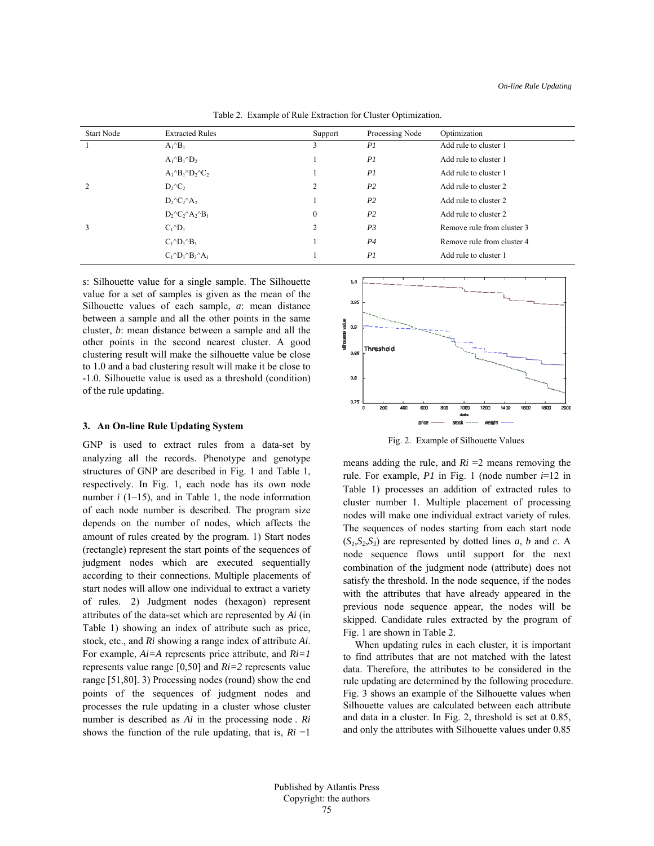| <b>Start Node</b> | <b>Extracted Rules</b>                    | Support        | Processing Node | Optimization               |
|-------------------|-------------------------------------------|----------------|-----------------|----------------------------|
|                   | $A_1{}^{\wedge}B_1$                       | 3              | PI              | Add rule to cluster 1      |
|                   | $A_1{}^{\wedge}B_1{}^{\wedge}D_2$         |                | PI              | Add rule to cluster 1      |
|                   | $A_1^{\wedge}B_1^{\wedge}D_2^{\wedge}C_2$ |                | PI              | Add rule to cluster 1      |
| 2                 | $D_2^{\wedge}C_2$                         | $\overline{2}$ | P <sub>2</sub>  | Add rule to cluster 2      |
|                   | $D_2^{\wedge}C_2^{\wedge}A_2$             |                | P <sub>2</sub>  | Add rule to cluster 2      |
|                   | $D_2^{\wedge}C_2^{\wedge}A_2^{\wedge}B_1$ | $\theta$       | P <sub>2</sub>  | Add rule to cluster 2      |
| 3                 | $C_1^{\wedge}D_1$                         | 2              | P <sub>3</sub>  | Remove rule from cluster 3 |
|                   | $C_1^{\wedge}D_1^{\wedge}B_3$             |                | P <sub>4</sub>  | Remove rule from cluster 4 |
|                   | $C_1^{\wedge}D_1^{\wedge}B_3^{\wedge}A_1$ |                | PI              | Add rule to cluster 1      |
|                   |                                           |                |                 |                            |

Table 2. Example of Rule Extraction for Cluster Optimization.

*s*: Silhouette value for a single sample. The Silhouette value for a set of samples is given as the mean of the Silhouette values of each sample, *a*: mean distance between a sample and all the other points in the same cluster, *b*: mean distance between a sample and all the other points in the second nearest cluster. A good clustering result will make the silhouette value be close to 1.0 and a bad clustering result will make it be close to -1.0. Silhouette value is used as a threshold (condition) of the rule updating.

# **3. An On-line Rule Updating System**

GNP is used to extract rules from a data-set by analyzing all the records. Phenotype and genotype structures of GNP are described in Fig. 1 and Table 1, respectively. In Fig. 1, each node has its own node number  $i$  (1–15), and in Table 1, the node information of each node number is described. The program size depends on the number of nodes, which affects the amount of rules created by the program. 1) Start nodes (rectangle) represent the start points of the sequences of judgment nodes which are executed sequentially according to their connections. Multiple placements of start nodes will allow one individual to extract a variety of rules. 2) Judgment nodes (hexagon) represent attributes of the data-set which are represented by *Ai* (in Table 1) showing an index of attribute such as price, stock, etc., and *Ri* showing a range index of attribute *Ai*. For example, *Ai=A* represents price attribute, and *Ri=1* represents value range [0,50] and *Ri=2* represents value range [51,80]. 3) Processing nodes (round) show the end points of the sequences of judgment nodes and processes the rule updating in a cluster whose cluster number is described as *Ai* in the processing node . *Ri* shows the function of the rule updating, that is,  $Ri = 1$ 



Fig. 2. Example of Silhouette Values

means adding the rule, and  $Ri = 2$  means removing the rule. For example, *P1* in Fig. 1 (node number *i*=12 in Table 1) processes an addition of extracted rules to cluster number 1. Multiple placement of processing nodes will make one individual extract variety of rules. The sequences of nodes starting from each start node  $(S_1, S_2, S_3)$  are represented by dotted lines *a*, *b* and *c*. A node sequence flows until support for the next combination of the judgment node (attribute) does not satisfy the threshold. In the node sequence, if the nodes with the attributes that have already appeared in the previous node sequence appear, the nodes will be skipped. Candidate rules extracted by the program of Fig. 1 are shown in Table 2.

When updating rules in each cluster, it is important to find attributes that are not matched with the latest data. Therefore, the attributes to be considered in the rule updating are determined by the following procedure. Fig. 3 shows an example of the Silhouette values when Silhouette values are calculated between each attribute and data in a cluster. In Fig. 2, threshold is set at 0.85, and only the attributes with Silhouette values under 0.85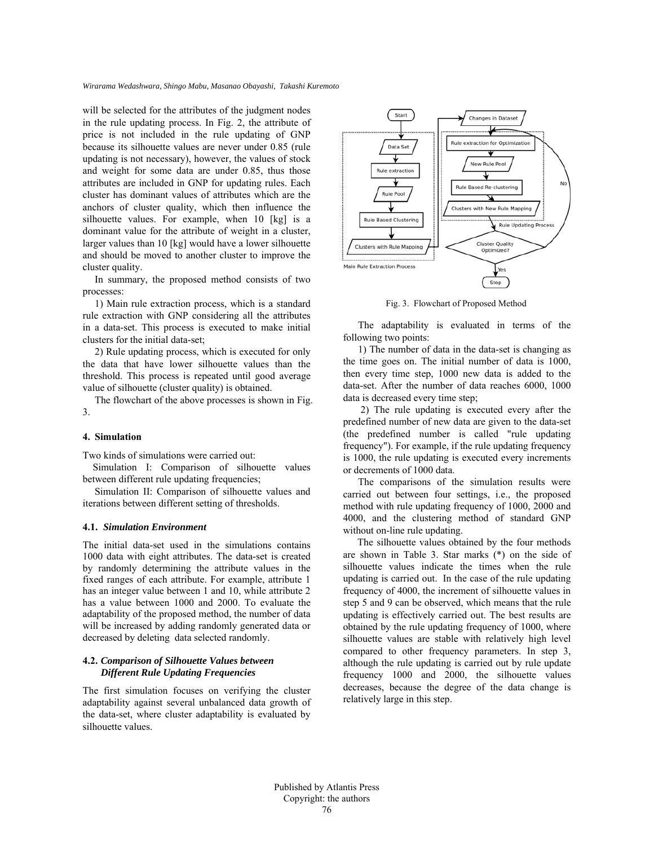*Wirarama Wedashwara, Shingo Mabu, Masanao Obayashi, Takashi Kuremoto*

will be selected for the attributes of the judgment nodes in the rule updating process. In Fig. 2, the attribute of price is not included in the rule updating of GNP because its silhouette values are never under 0.85 (rule updating is not necessary), however, the values of stock and weight for some data are under 0.85, thus those attributes are included in GNP for updating rules. Each cluster has dominant values of attributes which are the anchors of cluster quality, which then influence the silhouette values. For example, when 10 [kg] is a dominant value for the attribute of weight in a cluster, larger values than 10 [kg] would have a lower silhouette and should be moved to another cluster to improve the cluster quality.

In summary, the proposed method consists of two processes:

1) Main rule extraction process, which is a standard rule extraction with GNP considering all the attributes in a data-set. This process is executed to make initial clusters for the initial data-set;

2) Rule updating process, which is executed for only the data that have lower silhouette values than the threshold. This process is repeated until good average value of silhouette (cluster quality) is obtained.

The flowchart of the above processes is shown in Fig. 3.

### **4. Simulation**

Two kinds of simulations were carried out:

Simulation I: Comparison of silhouette values between different rule updating frequencies;

Simulation II: Comparison of silhouette values and iterations between different setting of thresholds.

### **4.1.** *Simulation Environment*

The initial data-set used in the simulations contains 1000 data with eight attributes. The data-set is created by randomly determining the attribute values in the fixed ranges of each attribute. For example, attribute 1 has an integer value between 1 and 10, while attribute 2 has a value between 1000 and 2000. To evaluate the adaptability of the proposed method, the number of data will be increased by adding randomly generated data or decreased by deleting data selected randomly.

# **4.2.** *Comparison of Silhouette Values between Different Rule Updating Frequencies*

The first simulation focuses on verifying the cluster adaptability against several unbalanced data growth of the data-set, where cluster adaptability is evaluated by silhouette values.



Fig. 3. Flowchart of Proposed Method

The adaptability is evaluated in terms of the following two points:

1) The number of data in the data-set is changing as the time goes on. The initial number of data is 1000, then every time step, 1000 new data is added to the data-set. After the number of data reaches 6000, 1000 data is decreased every time step;

 2) The rule updating is executed every after the predefined number of new data are given to the data-set (the predefined number is called "rule updating frequency"). For example, if the rule updating frequency is 1000, the rule updating is executed every increments or decrements of 1000 data.

The comparisons of the simulation results were carried out between four settings, i.e., the proposed method with rule updating frequency of 1000, 2000 and 4000, and the clustering method of standard GNP without on-line rule updating.

 The silhouette values obtained by the four methods are shown in Table 3. Star marks (\*) on the side of silhouette values indicate the times when the rule updating is carried out. In the case of the rule updating frequency of 4000, the increment of silhouette values in step 5 and 9 can be observed, which means that the rule updating is effectively carried out. The best results are obtained by the rule updating frequency of 1000, where silhouette values are stable with relatively high level compared to other frequency parameters. In step 3, although the rule updating is carried out by rule update frequency 1000 and 2000, the silhouette values decreases, because the degree of the data change is relatively large in this step.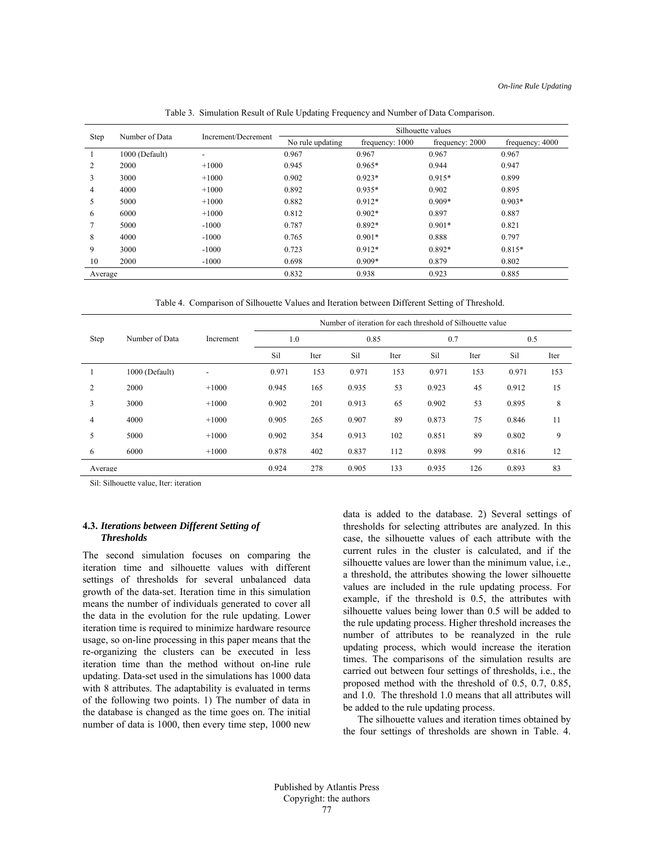| Step    | Number of Data | Increment/Decrement      | Silhouette values |                 |                 |                 |  |  |
|---------|----------------|--------------------------|-------------------|-----------------|-----------------|-----------------|--|--|
|         |                |                          | No rule updating  | frequency: 1000 | frequency: 2000 | frequency: 4000 |  |  |
|         | 1000 (Default) | $\overline{\phantom{0}}$ | 0.967             | 0.967           | 0.967           | 0.967           |  |  |
| 2       | 2000           | $+1000$                  | 0.945             | $0.965*$        | 0.944           | 0.947           |  |  |
| 3       | 3000           | $+1000$                  | 0.902             | $0.923*$        | $0.915*$        | 0.899           |  |  |
| 4       | 4000           | $+1000$                  | 0.892             | $0.935*$        | 0.902           | 0.895           |  |  |
| 5       | 5000           | $+1000$                  | 0.882             | $0.912*$        | $0.909*$        | $0.903*$        |  |  |
| 6       | 6000           | $+1000$                  | 0.812             | $0.902*$        | 0.897           | 0.887           |  |  |
|         | 5000           | $-1000$                  | 0.787             | $0.892*$        | $0.901*$        | 0.821           |  |  |
| 8       | 4000           | $-1000$                  | 0.765             | $0.901*$        | 0.888           | 0.797           |  |  |
| 9       | 3000           | $-1000$                  | 0.723             | $0.912*$        | $0.892*$        | $0.815*$        |  |  |
| 10      | 2000           | $-1000$                  | 0.698             | $0.909*$        | 0.879           | 0.802           |  |  |
| Average |                | 0.832                    | 0.938             | 0.923           | 0.885           |                 |  |  |

Table 3. Simulation Result of Rule Updating Frequency and Number of Data Comparison.

Table 4. Comparison of Silhouette Values and Iteration between Different Setting of Threshold.

|                |                | Increment | Number of iteration for each threshold of Silhouette value |      |       |      |       |      |       |      |
|----------------|----------------|-----------|------------------------------------------------------------|------|-------|------|-------|------|-------|------|
| Step           | Number of Data |           | 1.0                                                        |      | 0.85  |      | 0.7   |      | 0.5   |      |
|                |                |           | Sil                                                        | Iter | Sil   | Iter | Sil   | Iter | Sil   | Iter |
|                | 1000 (Default) | ۰         | 0.971                                                      | 153  | 0.971 | 153  | 0.971 | 153  | 0.971 | 153  |
| $\overline{2}$ | 2000           | $+1000$   | 0.945                                                      | 165  | 0.935 | 53   | 0.923 | 45   | 0.912 | 15   |
| 3              | 3000           | $+1000$   | 0.902                                                      | 201  | 0.913 | 65   | 0.902 | 53   | 0.895 | 8    |
| 4              | 4000           | $+1000$   | 0.905                                                      | 265  | 0.907 | 89   | 0.873 | 75   | 0.846 | 11   |
| 5              | 5000           | $+1000$   | 0.902                                                      | 354  | 0.913 | 102  | 0.851 | 89   | 0.802 | 9    |
| 6              | 6000           | $+1000$   | 0.878                                                      | 402  | 0.837 | 112  | 0.898 | 99   | 0.816 | 12   |
| Average        |                |           | 0.924                                                      | 278  | 0.905 | 133  | 0.935 | 126  | 0.893 | 83   |

Sil: Silhouette value, Iter: iteration

### **4.3.** *Iterations between Different Setting of Thresholds*

The second simulation focuses on comparing the iteration time and silhouette values with different settings of thresholds for several unbalanced data growth of the data-set. Iteration time in this simulation means the number of individuals generated to cover all the data in the evolution for the rule updating. Lower iteration time is required to minimize hardware resource usage, so on-line processing in this paper means that the re-organizing the clusters can be executed in less iteration time than the method without on-line rule updating. Data-set used in the simulations has 1000 data with 8 attributes. The adaptability is evaluated in terms of the following two points. 1) The number of data in the database is changed as the time goes on. The initial number of data is 1000, then every time step, 1000 new

data is added to the database. 2) Several settings of thresholds for selecting attributes are analyzed. In this case, the silhouette values of each attribute with the current rules in the cluster is calculated, and if the silhouette values are lower than the minimum value, i.e., a threshold, the attributes showing the lower silhouette values are included in the rule updating process. For example, if the threshold is 0.5, the attributes with silhouette values being lower than 0.5 will be added to the rule updating process. Higher threshold increases the number of attributes to be reanalyzed in the rule updating process, which would increase the iteration times. The comparisons of the simulation results are carried out between four settings of thresholds, i.e., the proposed method with the threshold of 0.5, 0.7, 0.85, and 1.0. The threshold 1.0 means that all attributes will be added to the rule updating process.

 The silhouette values and iteration times obtained by the four settings of thresholds are shown in Table. 4.